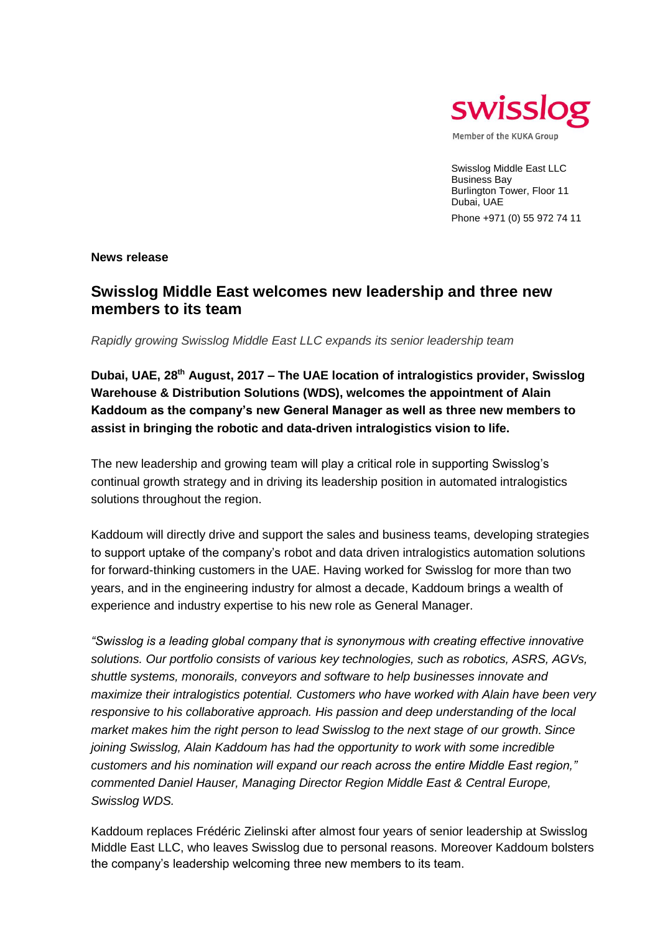

Swisslog Middle East LLC Business Bay Burlington Tower, Floor 11 Dubai, UAE Phone +971 (0) 55 972 74 11

**News release**

## **Swisslog Middle East welcomes new leadership and three new members to its team**

*Rapidly growing Swisslog Middle East LLC expands its senior leadership team*

**Dubai, UAE, 28th August, 2017 – The UAE location of intralogistics provider, Swisslog Warehouse & Distribution Solutions (WDS), welcomes the appointment of Alain Kaddoum as the company's new General Manager as well as three new members to assist in bringing the robotic and data-driven intralogistics vision to life.**

The new leadership and growing team will play a critical role in supporting Swisslog's continual growth strategy and in driving its leadership position in automated intralogistics solutions throughout the region.

Kaddoum will directly drive and support the sales and business teams, developing strategies to support uptake of the company's robot and data driven intralogistics automation solutions for forward-thinking customers in the UAE. Having worked for Swisslog for more than two years, and in the engineering industry for almost a decade, Kaddoum brings a wealth of experience and industry expertise to his new role as General Manager.

*"Swisslog is a leading global company that is synonymous with creating effective innovative solutions. Our portfolio consists of various key technologies, such as robotics, ASRS, AGVs, shuttle systems, monorails, conveyors and software to help businesses innovate and maximize their intralogistics potential. Customers who have worked with Alain have been very responsive to his collaborative approach. His passion and deep understanding of the local market makes him the right person to lead Swisslog to the next stage of our growth. Since joining Swisslog, Alain Kaddoum has had the opportunity to work with some incredible customers and his nomination will expand our reach across the entire Middle East region," commented Daniel Hauser, Managing Director Region Middle East & Central Europe, Swisslog WDS.*

Kaddoum replaces Frédéric Zielinski after almost four years of senior leadership at Swisslog Middle East LLC, who leaves Swisslog due to personal reasons. Moreover Kaddoum bolsters the company's leadership welcoming three new members to its team.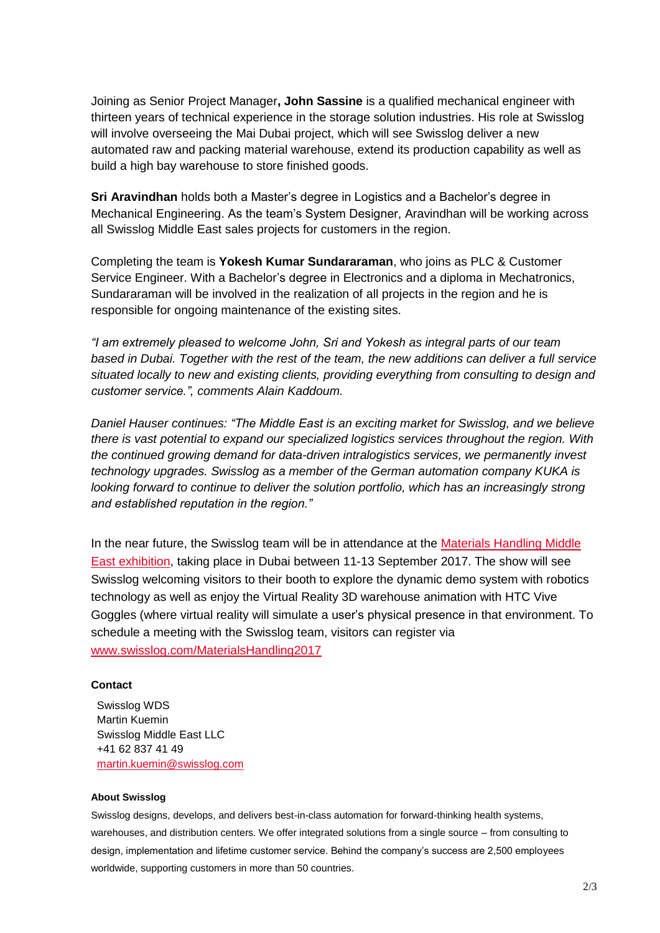Joining as Senior Project Manager**, John Sassine** is a qualified mechanical engineer with thirteen years of technical experience in the storage solution industries. His role at Swisslog will involve overseeing the Mai Dubai project, which will see Swisslog deliver a new automated raw and packing material warehouse, extend its production capability as well as build a high bay warehouse to store finished goods.

**Sri Aravindhan** holds both a Master's degree in Logistics and a Bachelor's degree in Mechanical Engineering. As the team's System Designer, Aravindhan will be working across all Swisslog Middle East sales projects for customers in the region.

Completing the team is **Yokesh Kumar Sundararaman**, who joins as PLC & Customer Service Engineer. With a Bachelor's degree in Electronics and a diploma in Mechatronics, Sundararaman will be involved in the realization of all projects in the region and he is responsible for ongoing maintenance of the existing sites.

*"I am extremely pleased to welcome John, Sri and Yokesh as integral parts of our team based in Dubai. Together with the rest of the team, the new additions can deliver a full service situated locally to new and existing clients, providing everything from consulting to design and customer service.", comments Alain Kaddoum.* 

*Daniel Hauser continues: "The Middle East is an exciting market for Swisslog, and we believe there is vast potential to expand our specialized logistics services throughout the region. With the continued growing demand for data-driven intralogistics services, we permanently invest technology upgrades. Swisslog as a member of the German automation company KUKA is looking forward to continue to deliver the solution portfolio, which has an increasingly strong and established reputation in the region."*

In the near future, the Swisslog team will be in attendance at the Materials Handling Middle East exhibition, taking place in Dubai between 11-13 September 2017. The show will see Swisslog welcoming visitors to their booth to explore the dynamic demo system with robotics technology as well as enjoy the Virtual Reality 3D warehouse animation with HTC Vive Goggles (where virtual reality will simulate a user's physical presence in that environment. To schedule a meeting with the Swisslog team, visitors can register via www.swisslog.com/MaterialsHandling2017

## **Contact**

Swisslog WDS Martin Kuemin Swisslog Middle East LLC +41 62 837 41 49 [martin.kuemin@swisslog.com](mailto:martin.kuemin@swisslog.com)

## **About Swisslog**

Swisslog designs, develops, and delivers best-in-class automation for forward-thinking health systems, warehouses, and distribution centers. We offer integrated solutions from a single source – from consulting to design, implementation and lifetime customer service. Behind the company's success are 2,500 employees worldwide, supporting customers in more than 50 countries.